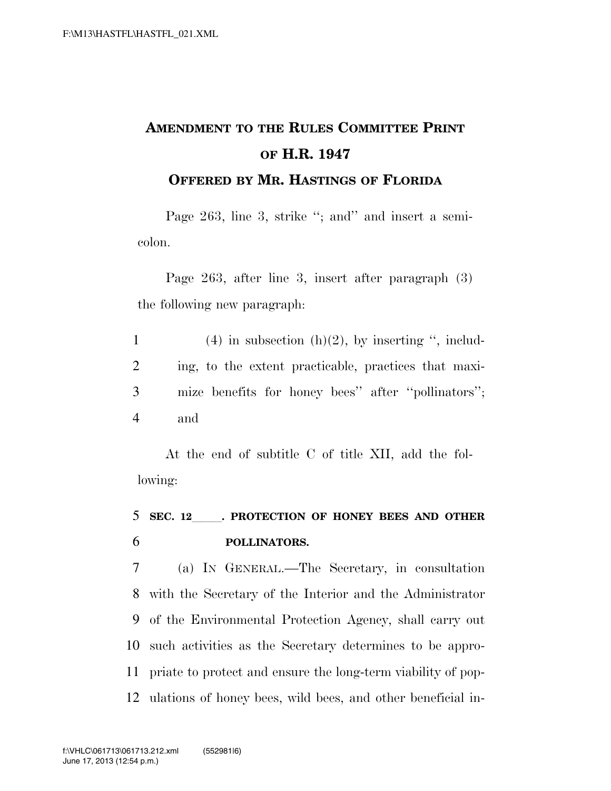## **AMENDMENT TO THE RULES COMMITTEE PRINT OF H.R. 1947 OFFERED BY MR. HASTINGS OF FLORIDA**

Page 263, line 3, strike "; and" and insert a semicolon.

Page 263, after line 3, insert after paragraph (3) the following new paragraph:

1 (4) in subsection  $(h)(2)$ , by inserting ", includ-2 ing, to the extent practicable, practices that maxi-3 mize benefits for honey bees'' after ''pollinators''; 4 and

At the end of subtitle C of title XII, add the following:

## <sup>5</sup> **SEC. 12**lll**. PROTECTION OF HONEY BEES AND OTHER**  6 **POLLINATORS.**

 (a) IN GENERAL.—The Secretary, in consultation with the Secretary of the Interior and the Administrator of the Environmental Protection Agency, shall carry out such activities as the Secretary determines to be appro- priate to protect and ensure the long-term viability of pop-ulations of honey bees, wild bees, and other beneficial in-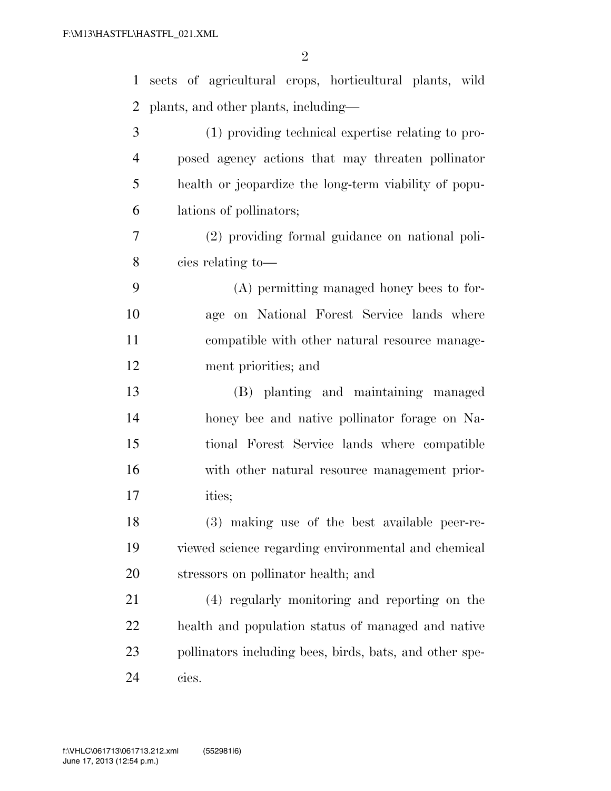| $\mathbf{1}$   | sects of agricultural crops, horticultural plants, wild |
|----------------|---------------------------------------------------------|
| 2              | plants, and other plants, including—                    |
| 3              | (1) providing technical expertise relating to pro-      |
| $\overline{4}$ | posed agency actions that may threaten pollinator       |
| 5              | health or jeopardize the long-term viability of popu-   |
| 6              | lations of pollinators;                                 |
| 7              | (2) providing formal guidance on national poli-         |
| 8              | cies relating to-                                       |
| 9              | (A) permitting managed honey bees to for-               |
| 10             | age on National Forest Service lands where              |
| 11             | compatible with other natural resource manage-          |
| 12             | ment priorities; and                                    |
| 13             | (B) planting and maintaining managed                    |
| 14             | honey bee and native pollinator forage on Na-           |
| 15             | tional Forest Service lands where compatible            |
| 16             | with other natural resource management prior-           |
| 17             | ities;                                                  |
| 18             | (3) making use of the best available peer-re-           |
| 19             | viewed science regarding environmental and chemical     |
| 20             | stressors on pollinator health; and                     |
| 21             | (4) regularly monitoring and reporting on the           |
| 22             | health and population status of managed and native      |
| 23             | pollinators including bees, birds, bats, and other spe- |
| 24             | cies.                                                   |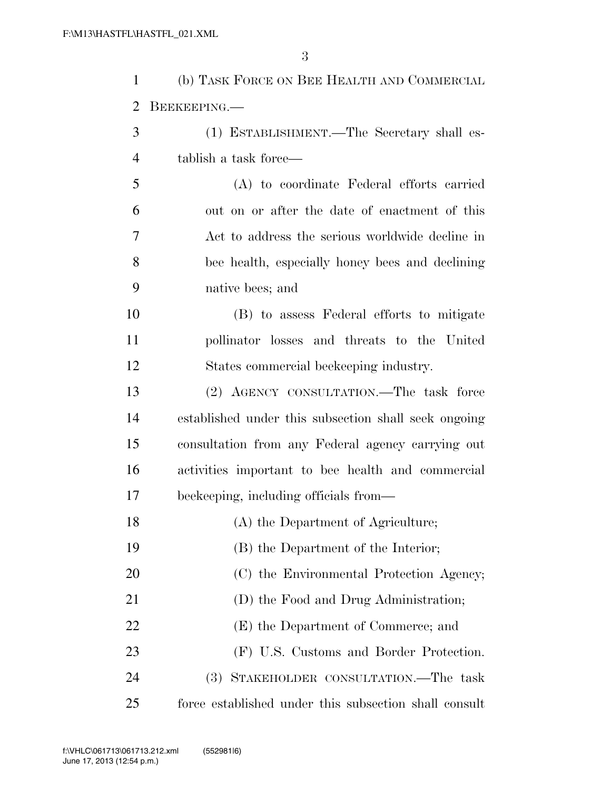| $\mathbf{1}$   | (b) TASK FORCE ON BEE HEALTH AND COMMERCIAL           |
|----------------|-------------------------------------------------------|
| $\overline{2}$ | BEEKEEPING.                                           |
| 3              | (1) ESTABLISHMENT.—The Secretary shall es-            |
| $\overline{4}$ | tablish a task force—                                 |
| 5              | (A) to coordinate Federal efforts carried             |
| 6              | out on or after the date of enactment of this         |
| 7              | Act to address the serious worldwide decline in       |
| 8              | bee health, especially honey bees and declining       |
| 9              | native bees; and                                      |
| 10             | (B) to assess Federal efforts to mitigate             |
| 11             | pollinator losses and threats to the United           |
| 12             | States commercial beekeeping industry.                |
| 13             | (2) AGENCY CONSULTATION.—The task force               |
| 14             | established under this subsection shall seek ongoing  |
| 15             | consultation from any Federal agency carrying out     |
| 16             | activities important to bee health and commercial     |
| 17             | beekeeping, including officials from—                 |
| 18             | (A) the Department of Agriculture;                    |
| 19             | (B) the Department of the Interior;                   |
| 20             | (C) the Environmental Protection Agency;              |
| 21             | (D) the Food and Drug Administration;                 |
| 22             | (E) the Department of Commerce; and                   |
| 23             | (F) U.S. Customs and Border Protection.               |
| 24             | (3) STAKEHOLDER CONSULTATION.—The task                |
| 25             | force established under this subsection shall consult |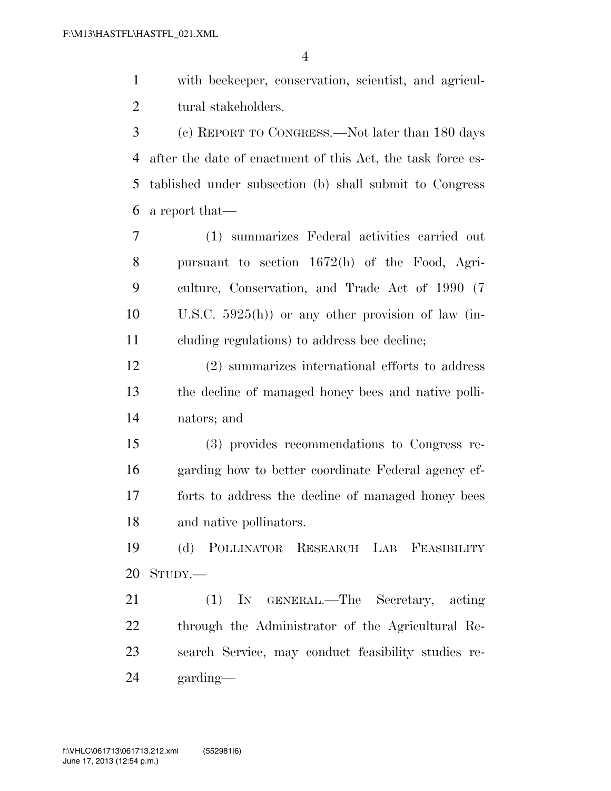with beekeeper, conservation, scientist, and agricul-tural stakeholders.

 (c) REPORT TO CONGRESS.—Not later than 180 days after the date of enactment of this Act, the task force es- tablished under subsection (b) shall submit to Congress a report that—

 (1) summarizes Federal activities carried out pursuant to section 1672(h) of the Food, Agri- culture, Conservation, and Trade Act of 1990 (7 U.S.C. 5925(h)) or any other provision of law (in-cluding regulations) to address bee decline;

 (2) summarizes international efforts to address the decline of managed honey bees and native polli-nators; and

 (3) provides recommendations to Congress re- garding how to better coordinate Federal agency ef- forts to address the decline of managed honey bees and native pollinators.

 (d) POLLINATOR RESEARCH LAB FEASIBILITY STUDY.—

 (1) IN GENERAL.—The Secretary, acting through the Administrator of the Agricultural Re- search Service, may conduct feasibility studies re-garding—